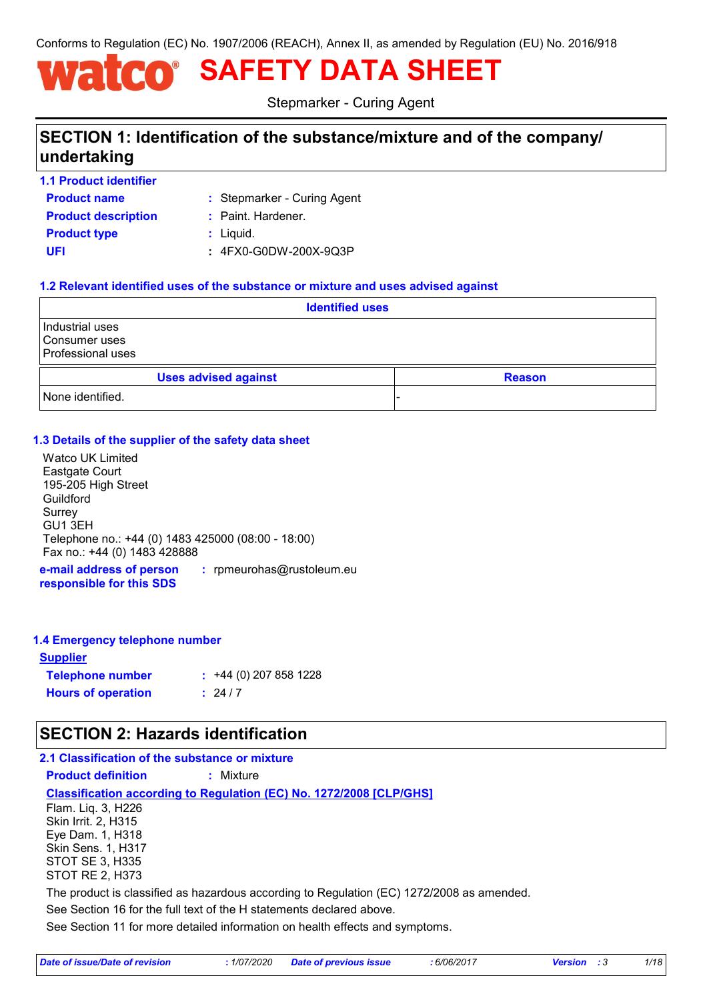Conforms to Regulation (EC) No. 1907/2006 (REACH), Annex II, as amended by Regulation (EU) No. 2016/918

# **SAFETY DATA SHEET**

Stepmarker - Curing Agent

# **SECTION 1: Identification of the substance/mixture and of the company/ undertaking**

- **Product name 1.1 Product identifier**
- Stepmarker Curing Agent **:**
- **Product type**  $\qquad$ **:** Liquid. **Product description :** Paint. Hardener.
	-
	-
- **UFI :** 4FX0-G0DW-200X-9Q3P

#### **1.2 Relevant identified uses of the substance or mixture and uses advised against**

| <b>Identified uses</b>                                |               |  |
|-------------------------------------------------------|---------------|--|
| Industrial uses<br>Consumer uses<br>Professional uses |               |  |
| <b>Uses advised against</b>                           | <b>Reason</b> |  |
| None identified.                                      |               |  |

#### **1.3 Details of the supplier of the safety data sheet**

Watco UK Limited Eastgate Court 195-205 High Street Guildford Surrey GU1 3EH Telephone no.: +44 (0) 1483 425000 (08:00 - 18:00) Fax no.: +44 (0) 1483 428888

**e-mail address of person responsible for this SDS :** rpmeurohas@rustoleum.eu

#### **1.4 Emergency telephone number**

| <u>Supplier</u>           |                         |
|---------------------------|-------------------------|
| <b>Telephone number</b>   | $: +44(0)$ 207 858 1228 |
| <b>Hours of operation</b> | : 24/7                  |

# **SECTION 2: Hazards identification**

#### **2.1 Classification of the substance or mixture**

**Product definition :** Mixture

#### **Classification according to Regulation (EC) No. 1272/2008 [CLP/GHS]**

Flam. Liq. 3, H226 Skin Irrit. 2, H315 Eye Dam. 1, H318 Skin Sens. 1, H317 STOT SE 3, H335 STOT RE 2, H373

The product is classified as hazardous according to Regulation (EC) 1272/2008 as amended.

See Section 16 for the full text of the H statements declared above.

See Section 11 for more detailed information on health effects and symptoms.

| Date of issue/Date of revision | : 1/07/2020 Date of previous issue | 6/06/2017 | <b>Version</b> : 3 | 1/18 |
|--------------------------------|------------------------------------|-----------|--------------------|------|
|--------------------------------|------------------------------------|-----------|--------------------|------|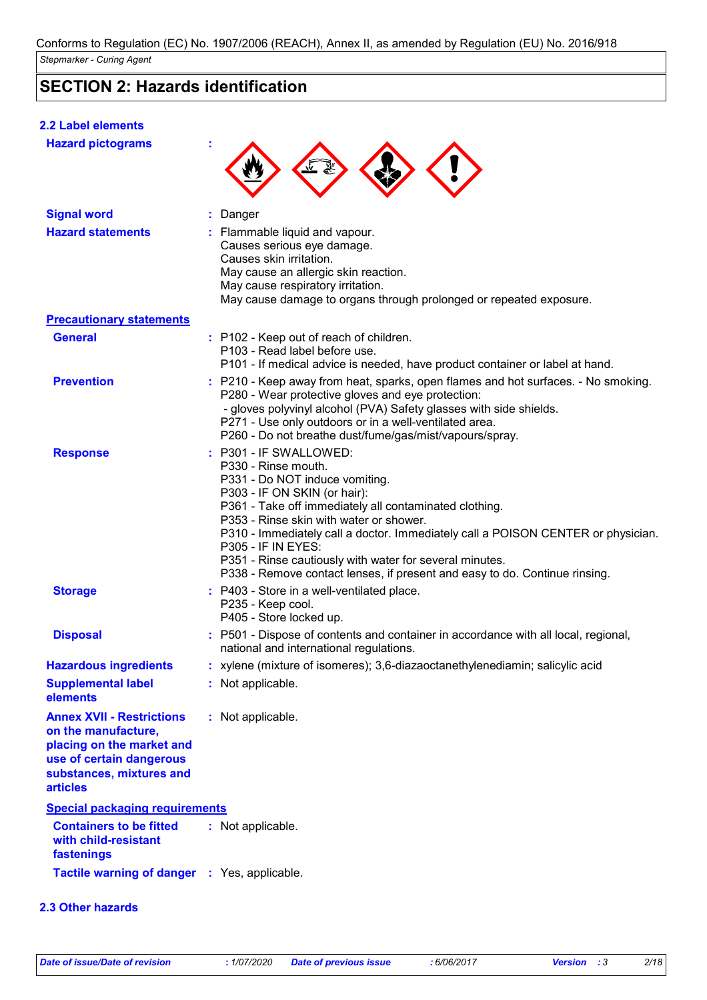# **SECTION 2: Hazards identification**

| <b>2.2 Label elements</b>                                                                                                                                       |                                                                                                                                                                                                                                                                                                                                                                                                                                                                                |
|-----------------------------------------------------------------------------------------------------------------------------------------------------------------|--------------------------------------------------------------------------------------------------------------------------------------------------------------------------------------------------------------------------------------------------------------------------------------------------------------------------------------------------------------------------------------------------------------------------------------------------------------------------------|
| <b>Hazard pictograms</b>                                                                                                                                        |                                                                                                                                                                                                                                                                                                                                                                                                                                                                                |
| <b>Signal word</b>                                                                                                                                              | Danger                                                                                                                                                                                                                                                                                                                                                                                                                                                                         |
| <b>Hazard statements</b>                                                                                                                                        | Flammable liquid and vapour.<br>Causes serious eye damage.<br>Causes skin irritation.<br>May cause an allergic skin reaction.<br>May cause respiratory irritation.<br>May cause damage to organs through prolonged or repeated exposure.                                                                                                                                                                                                                                       |
| <b>Precautionary statements</b>                                                                                                                                 |                                                                                                                                                                                                                                                                                                                                                                                                                                                                                |
| <b>General</b>                                                                                                                                                  | : P102 - Keep out of reach of children.<br>P103 - Read label before use.<br>P101 - If medical advice is needed, have product container or label at hand.                                                                                                                                                                                                                                                                                                                       |
| <b>Prevention</b>                                                                                                                                               | : P210 - Keep away from heat, sparks, open flames and hot surfaces. - No smoking.<br>P280 - Wear protective gloves and eye protection:<br>- gloves polyvinyl alcohol (PVA) Safety glasses with side shields.<br>P271 - Use only outdoors or in a well-ventilated area.<br>P260 - Do not breathe dust/fume/gas/mist/vapours/spray.                                                                                                                                              |
| <b>Response</b>                                                                                                                                                 | : P301 - IF SWALLOWED:<br>P330 - Rinse mouth.<br>P331 - Do NOT induce vomiting.<br>P303 - IF ON SKIN (or hair):<br>P361 - Take off immediately all contaminated clothing.<br>P353 - Rinse skin with water or shower.<br>P310 - Immediately call a doctor. Immediately call a POISON CENTER or physician.<br><b>P305 - IF IN EYES:</b><br>P351 - Rinse cautiously with water for several minutes.<br>P338 - Remove contact lenses, if present and easy to do. Continue rinsing. |
| <b>Storage</b>                                                                                                                                                  | : P403 - Store in a well-ventilated place.<br>P235 - Keep cool.<br>P405 - Store locked up.                                                                                                                                                                                                                                                                                                                                                                                     |
| <b>Disposal</b>                                                                                                                                                 | : P501 - Dispose of contents and container in accordance with all local, regional,<br>national and international regulations.                                                                                                                                                                                                                                                                                                                                                  |
| <b>Hazardous ingredients</b>                                                                                                                                    | : xylene (mixture of isomeres); 3,6-diazaoctanethylenediamin; salicylic acid                                                                                                                                                                                                                                                                                                                                                                                                   |
| <b>Supplemental label</b><br>elements                                                                                                                           | : Not applicable.                                                                                                                                                                                                                                                                                                                                                                                                                                                              |
| <b>Annex XVII - Restrictions</b><br>on the manufacture,<br>placing on the market and<br>use of certain dangerous<br>substances, mixtures and<br><b>articles</b> | : Not applicable.                                                                                                                                                                                                                                                                                                                                                                                                                                                              |
| <b>Special packaging requirements</b>                                                                                                                           |                                                                                                                                                                                                                                                                                                                                                                                                                                                                                |
| <b>Containers to be fitted</b><br>with child-resistant<br>fastenings                                                                                            | : Not applicable.                                                                                                                                                                                                                                                                                                                                                                                                                                                              |
| Tactile warning of danger : Yes, applicable.                                                                                                                    |                                                                                                                                                                                                                                                                                                                                                                                                                                                                                |
|                                                                                                                                                                 |                                                                                                                                                                                                                                                                                                                                                                                                                                                                                |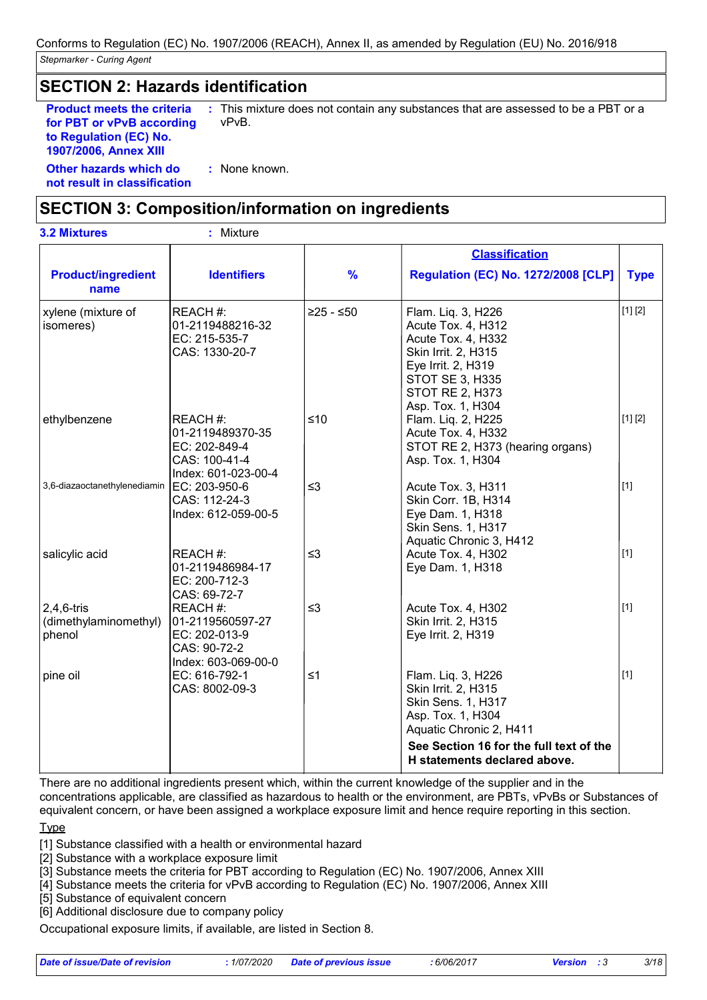# **SECTION 2: Hazards identification**

**Product meets the criteria for PBT or vPvB according to Regulation (EC) No. 1907/2006, Annex XIII**

**:** This mixture does not contain any substances that are assessed to be a PBT or a vPvB.

**Other hazards which do : not result in classification** : None known.

# **SECTION 3: Composition/information on ingredients**

| <b>3.2 Mixtures</b>                              | : Mixture                                                                             |               |                                                                                                                                                                                            |             |
|--------------------------------------------------|---------------------------------------------------------------------------------------|---------------|--------------------------------------------------------------------------------------------------------------------------------------------------------------------------------------------|-------------|
|                                                  |                                                                                       |               | <b>Classification</b>                                                                                                                                                                      |             |
| <b>Product/ingredient</b><br>name                | <b>Identifiers</b>                                                                    | $\frac{9}{6}$ | <b>Regulation (EC) No. 1272/2008 [CLP]</b>                                                                                                                                                 | <b>Type</b> |
| xylene (mixture of<br>isomeres)                  | REACH #:<br>01-2119488216-32<br>EC: 215-535-7<br>CAS: 1330-20-7                       | $≥25 - ≤50$   | Flam. Liq. 3, H226<br>Acute Tox. 4, H312<br>Acute Tox. 4, H332<br>Skin Irrit. 2, H315<br>Eye Irrit. 2, H319<br><b>STOT SE 3, H335</b><br><b>STOT RE 2, H373</b><br>Asp. Tox. 1, H304       | [1] [2]     |
| ethylbenzene                                     | REACH #:<br>01-2119489370-35<br>EC: 202-849-4<br>CAS: 100-41-4<br>Index: 601-023-00-4 | $≤10$         | Flam. Liq. 2, H225<br>Acute Tox. 4, H332<br>STOT RE 2, H373 (hearing organs)<br>Asp. Tox. 1, H304                                                                                          | [1] [2]     |
| 3,6-diazaoctanethylenediamin                     | EC: 203-950-6<br>CAS: 112-24-3<br>Index: 612-059-00-5                                 | $\leq$ 3      | Acute Tox. 3, H311<br>Skin Corr. 1B, H314<br>Eye Dam. 1, H318<br>Skin Sens. 1, H317<br>Aquatic Chronic 3, H412                                                                             | $[1]$       |
| salicylic acid                                   | REACH #:<br>01-2119486984-17<br>EC: 200-712-3<br>CAS: 69-72-7                         | $\leq$ 3      | Acute Tox. 4, H302<br>Eye Dam. 1, H318                                                                                                                                                     | $[1]$       |
| $2,4,6$ -tris<br>(dimethylaminomethyl)<br>phenol | REACH #:<br>01-2119560597-27<br>EC: 202-013-9<br>CAS: 90-72-2<br>Index: 603-069-00-0  | $\leq$ 3      | Acute Tox. 4, H302<br>Skin Irrit. 2, H315<br>Eye Irrit. 2, H319                                                                                                                            | $[1]$       |
| pine oil                                         | EC: 616-792-1<br>CAS: 8002-09-3                                                       | $\leq 1$      | Flam. Liq. 3, H226<br>Skin Irrit. 2, H315<br>Skin Sens. 1, H317<br>Asp. Tox. 1, H304<br>Aquatic Chronic 2, H411<br>See Section 16 for the full text of the<br>H statements declared above. | $[1]$       |

There are no additional ingredients present which, within the current knowledge of the supplier and in the concentrations applicable, are classified as hazardous to health or the environment, are PBTs, vPvBs or Substances of equivalent concern, or have been assigned a workplace exposure limit and hence require reporting in this section.

#### **Type**

[1] Substance classified with a health or environmental hazard

[2] Substance with a workplace exposure limit

[3] Substance meets the criteria for PBT according to Regulation (EC) No. 1907/2006, Annex XIII

[4] Substance meets the criteria for vPvB according to Regulation (EC) No. 1907/2006, Annex XIII

[5] Substance of equivalent concern

[6] Additional disclosure due to company policy

Occupational exposure limits, if available, are listed in Section 8.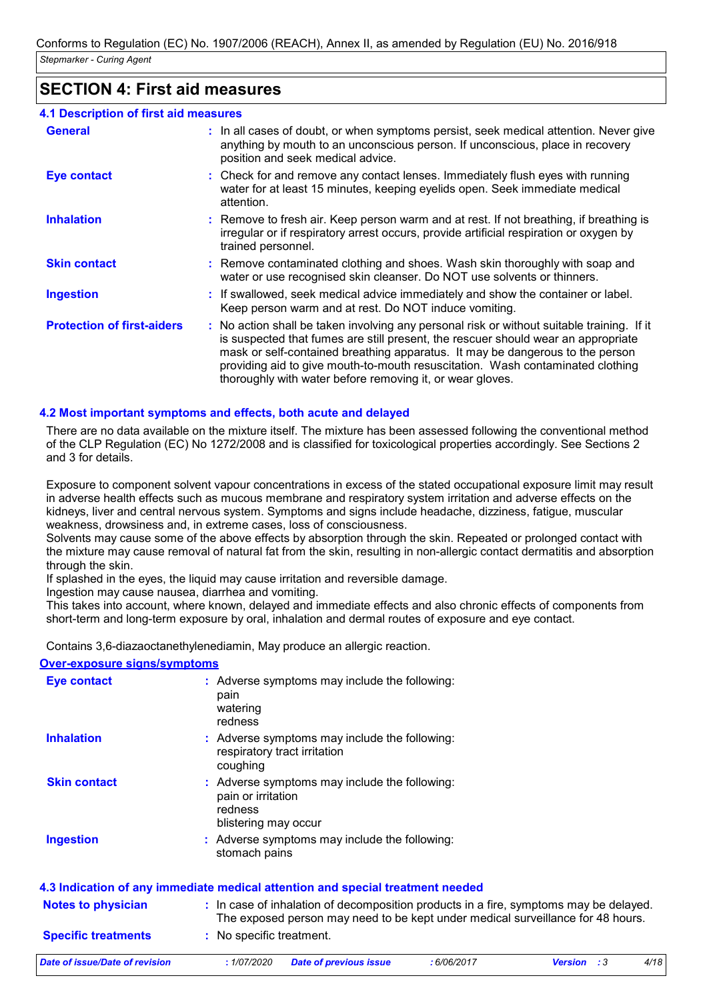### **SECTION 4: First aid measures**

| 4.1 Description of first aid measures |                                                                                                                                                                                                                                                                                                                                                                                                                 |
|---------------------------------------|-----------------------------------------------------------------------------------------------------------------------------------------------------------------------------------------------------------------------------------------------------------------------------------------------------------------------------------------------------------------------------------------------------------------|
| <b>General</b>                        | : In all cases of doubt, or when symptoms persist, seek medical attention. Never give<br>anything by mouth to an unconscious person. If unconscious, place in recovery<br>position and seek medical advice.                                                                                                                                                                                                     |
| Eye contact                           | : Check for and remove any contact lenses. Immediately flush eyes with running<br>water for at least 15 minutes, keeping eyelids open. Seek immediate medical<br>attention.                                                                                                                                                                                                                                     |
| <b>Inhalation</b>                     | : Remove to fresh air. Keep person warm and at rest. If not breathing, if breathing is<br>irregular or if respiratory arrest occurs, provide artificial respiration or oxygen by<br>trained personnel.                                                                                                                                                                                                          |
| <b>Skin contact</b>                   | : Remove contaminated clothing and shoes. Wash skin thoroughly with soap and<br>water or use recognised skin cleanser. Do NOT use solvents or thinners.                                                                                                                                                                                                                                                         |
| <b>Ingestion</b>                      | : If swallowed, seek medical advice immediately and show the container or label.<br>Keep person warm and at rest. Do NOT induce vomiting.                                                                                                                                                                                                                                                                       |
| <b>Protection of first-aiders</b>     | : No action shall be taken involving any personal risk or without suitable training. If it<br>is suspected that fumes are still present, the rescuer should wear an appropriate<br>mask or self-contained breathing apparatus. It may be dangerous to the person<br>providing aid to give mouth-to-mouth resuscitation. Wash contaminated clothing<br>thoroughly with water before removing it, or wear gloves. |

#### **4.2 Most important symptoms and effects, both acute and delayed**

There are no data available on the mixture itself. The mixture has been assessed following the conventional method of the CLP Regulation (EC) No 1272/2008 and is classified for toxicological properties accordingly. See Sections 2 and 3 for details.

Exposure to component solvent vapour concentrations in excess of the stated occupational exposure limit may result in adverse health effects such as mucous membrane and respiratory system irritation and adverse effects on the kidneys, liver and central nervous system. Symptoms and signs include headache, dizziness, fatigue, muscular weakness, drowsiness and, in extreme cases, loss of consciousness.

Solvents may cause some of the above effects by absorption through the skin. Repeated or prolonged contact with the mixture may cause removal of natural fat from the skin, resulting in non-allergic contact dermatitis and absorption through the skin.

If splashed in the eyes, the liquid may cause irritation and reversible damage.

Ingestion may cause nausea, diarrhea and vomiting.

This takes into account, where known, delayed and immediate effects and also chronic effects of components from short-term and long-term exposure by oral, inhalation and dermal routes of exposure and eye contact.

Contains 3,6-diazaoctanethylenediamin, May produce an allergic reaction.

#### **Over-exposure signs/symptoms**

| <b>Eye contact</b>         | : Adverse symptoms may include the following:<br>pain<br>watering<br>redness                                                                                             |
|----------------------------|--------------------------------------------------------------------------------------------------------------------------------------------------------------------------|
| <b>Inhalation</b>          | : Adverse symptoms may include the following:<br>respiratory tract irritation<br>coughing                                                                                |
| <b>Skin contact</b>        | : Adverse symptoms may include the following:<br>pain or irritation<br>redness<br>blistering may occur                                                                   |
| Ingestion                  | : Adverse symptoms may include the following:<br>stomach pains                                                                                                           |
|                            | 4.3 Indication of any immediate medical attention and special treatment needed                                                                                           |
| <b>Notes to physician</b>  | : In case of inhalation of decomposition products in a fire, symptoms may be delayed.<br>The exposed person may need to be kept under medical surveillance for 48 hours. |
| <b>Specific treatments</b> | : No specific treatment.                                                                                                                                                 |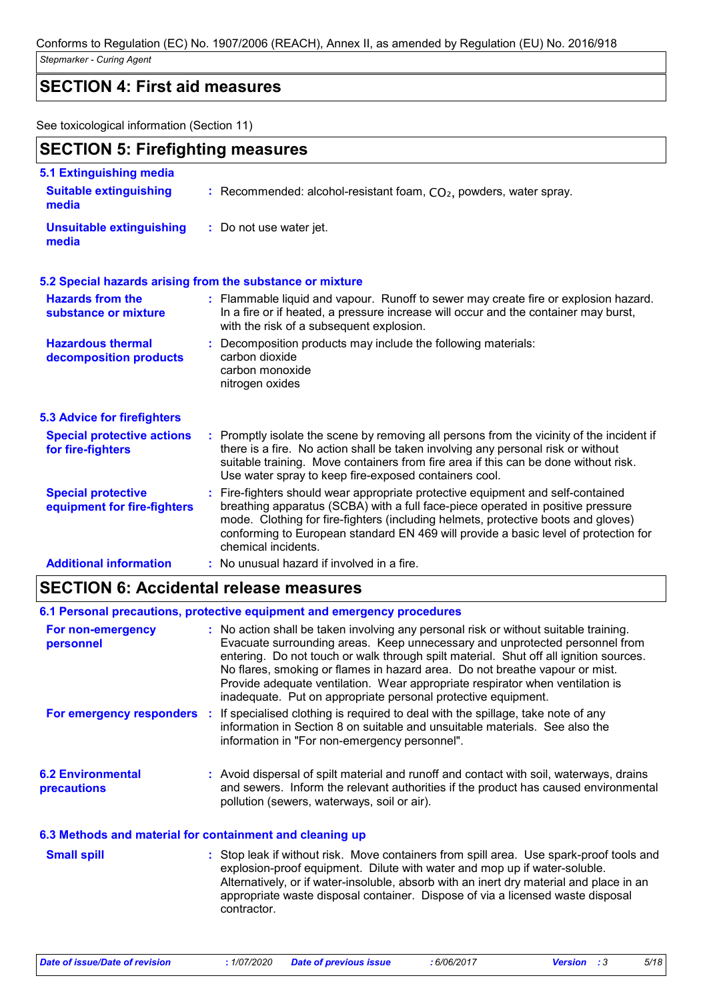# **SECTION 4: First aid measures**

See toxicological information (Section 11)

| <b>SECTION 5: Firefighting measures</b><br>5.1 Extinguishing media  |                                                                                                                                                                                                                                                                                                                                                                       |  |
|---------------------------------------------------------------------|-----------------------------------------------------------------------------------------------------------------------------------------------------------------------------------------------------------------------------------------------------------------------------------------------------------------------------------------------------------------------|--|
|                                                                     |                                                                                                                                                                                                                                                                                                                                                                       |  |
| <b>Unsuitable extinguishing</b><br>: Do not use water jet.<br>media |                                                                                                                                                                                                                                                                                                                                                                       |  |
|                                                                     | 5.2 Special hazards arising from the substance or mixture                                                                                                                                                                                                                                                                                                             |  |
| <b>Hazards from the</b><br>substance or mixture                     | : Flammable liquid and vapour. Runoff to sewer may create fire or explosion hazard.<br>In a fire or if heated, a pressure increase will occur and the container may burst,<br>with the risk of a subsequent explosion.                                                                                                                                                |  |
| <b>Hazardous thermal</b><br>decomposition products                  | Decomposition products may include the following materials:<br>carbon dioxide<br>carbon monoxide<br>nitrogen oxides                                                                                                                                                                                                                                                   |  |
| <b>5.3 Advice for firefighters</b>                                  |                                                                                                                                                                                                                                                                                                                                                                       |  |
| <b>Special protective actions</b><br>for fire-fighters              | : Promptly isolate the scene by removing all persons from the vicinity of the incident if<br>there is a fire. No action shall be taken involving any personal risk or without<br>suitable training. Move containers from fire area if this can be done without risk.<br>Use water spray to keep fire-exposed containers cool.                                         |  |
| <b>Special protective</b><br>equipment for fire-fighters            | : Fire-fighters should wear appropriate protective equipment and self-contained<br>breathing apparatus (SCBA) with a full face-piece operated in positive pressure<br>mode. Clothing for fire-fighters (including helmets, protective boots and gloves)<br>conforming to European standard EN 469 will provide a basic level of protection for<br>chemical incidents. |  |
| <b>Additional information</b>                                       | : No unusual hazard if involved in a fire.                                                                                                                                                                                                                                                                                                                            |  |

# **SECTION 6: Accidental release measures**

|                                                          | 6.1 Personal precautions, protective equipment and emergency procedures                                                                                                                                                                                                                                                                                                                                                                                                                       |
|----------------------------------------------------------|-----------------------------------------------------------------------------------------------------------------------------------------------------------------------------------------------------------------------------------------------------------------------------------------------------------------------------------------------------------------------------------------------------------------------------------------------------------------------------------------------|
| For non-emergency<br>personnel                           | : No action shall be taken involving any personal risk or without suitable training.<br>Evacuate surrounding areas. Keep unnecessary and unprotected personnel from<br>entering. Do not touch or walk through spilt material. Shut off all ignition sources.<br>No flares, smoking or flames in hazard area. Do not breathe vapour or mist.<br>Provide adequate ventilation. Wear appropriate respirator when ventilation is<br>inadequate. Put on appropriate personal protective equipment. |
|                                                          | For emergency responders : If specialised clothing is required to deal with the spillage, take note of any<br>information in Section 8 on suitable and unsuitable materials. See also the<br>information in "For non-emergency personnel".                                                                                                                                                                                                                                                    |
| <b>6.2 Environmental</b><br><b>precautions</b>           | : Avoid dispersal of spilt material and runoff and contact with soil, waterways, drains<br>and sewers. Inform the relevant authorities if the product has caused environmental<br>pollution (sewers, waterways, soil or air).                                                                                                                                                                                                                                                                 |
| 6.3 Methods and material for containment and cleaning up |                                                                                                                                                                                                                                                                                                                                                                                                                                                                                               |

| <b>Small spill</b> | : Stop leak if without risk. Move containers from spill area. Use spark-proof tools and |
|--------------------|-----------------------------------------------------------------------------------------|
|                    | explosion-proof equipment. Dilute with water and mop up if water-soluble.               |
|                    | Alternatively, or if water-insoluble, absorb with an inert dry material and place in an |
|                    | appropriate waste disposal container. Dispose of via a licensed waste disposal          |
|                    | contractor.                                                                             |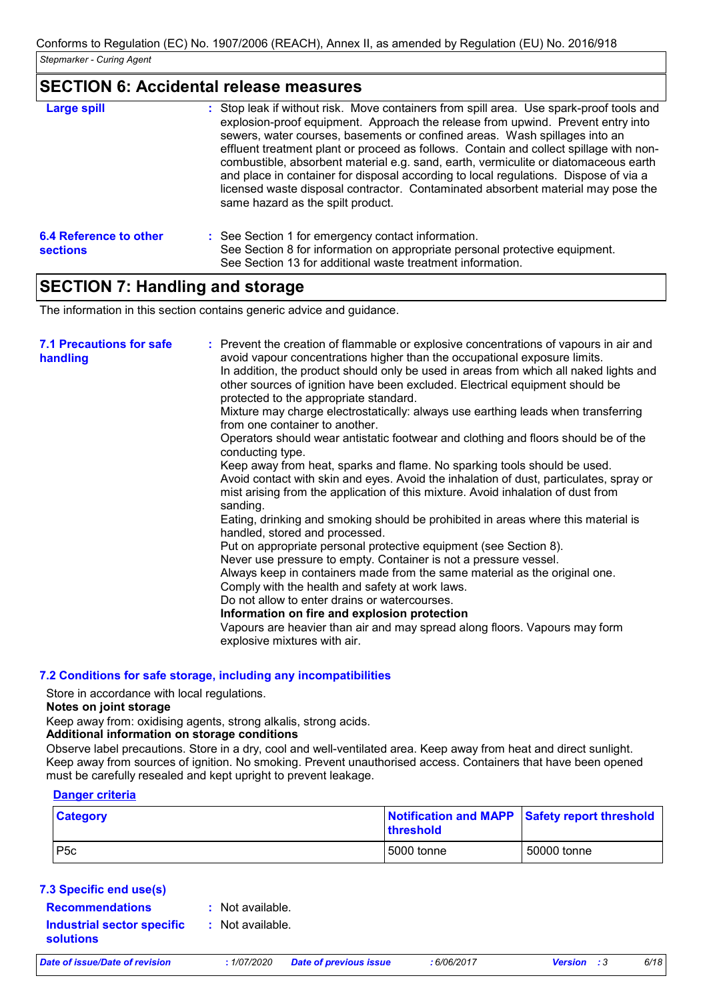### **SECTION 6: Accidental release measures**

| <b>Large spill</b>                        | : Stop leak if without risk. Move containers from spill area. Use spark-proof tools and<br>explosion-proof equipment. Approach the release from upwind. Prevent entry into<br>sewers, water courses, basements or confined areas. Wash spillages into an<br>effluent treatment plant or proceed as follows. Contain and collect spillage with non-<br>combustible, absorbent material e.g. sand, earth, vermiculite or diatomaceous earth<br>and place in container for disposal according to local regulations. Dispose of via a<br>licensed waste disposal contractor. Contaminated absorbent material may pose the<br>same hazard as the spilt product. |
|-------------------------------------------|------------------------------------------------------------------------------------------------------------------------------------------------------------------------------------------------------------------------------------------------------------------------------------------------------------------------------------------------------------------------------------------------------------------------------------------------------------------------------------------------------------------------------------------------------------------------------------------------------------------------------------------------------------|
| 6.4 Reference to other<br><b>sections</b> | : See Section 1 for emergency contact information.<br>See Section 8 for information on appropriate personal protective equipment.<br>See Section 13 for additional waste treatment information.                                                                                                                                                                                                                                                                                                                                                                                                                                                            |

### **SECTION 7: Handling and storage**

The information in this section contains generic advice and guidance.

| <b>7.1 Precautions for safe</b><br>handling | : Prevent the creation of flammable or explosive concentrations of vapours in air and<br>avoid vapour concentrations higher than the occupational exposure limits.<br>In addition, the product should only be used in areas from which all naked lights and<br>other sources of ignition have been excluded. Electrical equipment should be<br>protected to the appropriate standard.<br>Mixture may charge electrostatically: always use earthing leads when transferring<br>from one container to another.<br>Operators should wear antistatic footwear and clothing and floors should be of the<br>conducting type.<br>Keep away from heat, sparks and flame. No sparking tools should be used.<br>Avoid contact with skin and eyes. Avoid the inhalation of dust, particulates, spray or<br>mist arising from the application of this mixture. Avoid inhalation of dust from<br>sanding.<br>Eating, drinking and smoking should be prohibited in areas where this material is<br>handled, stored and processed.<br>Put on appropriate personal protective equipment (see Section 8).<br>Never use pressure to empty. Container is not a pressure vessel.<br>Always keep in containers made from the same material as the original one.<br>Comply with the health and safety at work laws.<br>Do not allow to enter drains or watercourses.<br>Information on fire and explosion protection<br>Vapours are heavier than air and may spread along floors. Vapours may form<br>explosive mixtures with air. |
|---------------------------------------------|--------------------------------------------------------------------------------------------------------------------------------------------------------------------------------------------------------------------------------------------------------------------------------------------------------------------------------------------------------------------------------------------------------------------------------------------------------------------------------------------------------------------------------------------------------------------------------------------------------------------------------------------------------------------------------------------------------------------------------------------------------------------------------------------------------------------------------------------------------------------------------------------------------------------------------------------------------------------------------------------------------------------------------------------------------------------------------------------------------------------------------------------------------------------------------------------------------------------------------------------------------------------------------------------------------------------------------------------------------------------------------------------------------------------------------------------------------------------------------------------------------------|
|                                             |                                                                                                                                                                                                                                                                                                                                                                                                                                                                                                                                                                                                                                                                                                                                                                                                                                                                                                                                                                                                                                                                                                                                                                                                                                                                                                                                                                                                                                                                                                              |

#### **7.2 Conditions for safe storage, including any incompatibilities**

Store in accordance with local regulations.

#### **Notes on joint storage**

Keep away from: oxidising agents, strong alkalis, strong acids.

#### **Additional information on storage conditions**

Observe label precautions. Store in a dry, cool and well-ventilated area. Keep away from heat and direct sunlight. Keep away from sources of ignition. No smoking. Prevent unauthorised access. Containers that have been opened must be carefully resealed and kept upright to prevent leakage.

#### **Danger criteria**

| <b>Category</b>  | Notification and MAPP Safety report threshold<br><b>Ithreshold</b> |             |
|------------------|--------------------------------------------------------------------|-------------|
| P <sub>5</sub> c | 5000 tonne                                                         | 50000 tonne |

#### **7.3 Specific end use(s) Recommendations :**

: Not available.

**Industrial sector specific : solutions**

: Not available.

*Date of issue/Date of revision* **:** *1/07/2020 Date of previous issue : 6/06/2017 Version : 3 6/18*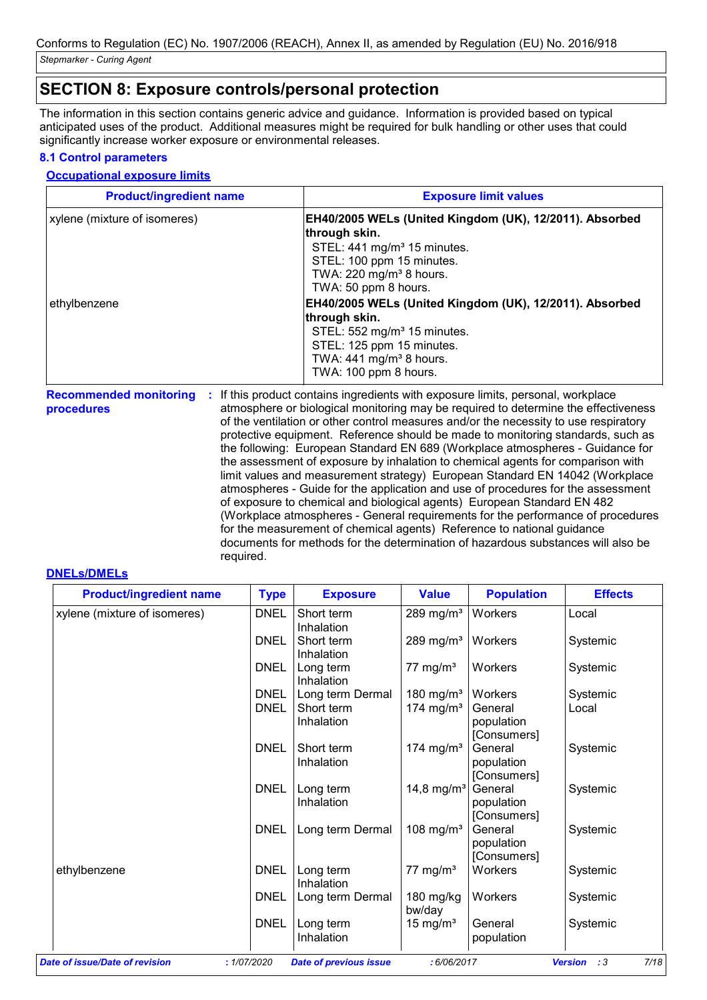# **SECTION 8: Exposure controls/personal protection**

The information in this section contains generic advice and guidance. Information is provided based on typical anticipated uses of the product. Additional measures might be required for bulk handling or other uses that could significantly increase worker exposure or environmental releases.

#### **8.1 Control parameters**

#### **Occupational exposure limits**

| <b>Product/ingredient name</b> | <b>Exposure limit values</b>                                                                                                                            |
|--------------------------------|---------------------------------------------------------------------------------------------------------------------------------------------------------|
| xylene (mixture of isomeres)   | EH40/2005 WELs (United Kingdom (UK), 12/2011). Absorbed<br>through skin.<br>STEL: 441 mg/m <sup>3</sup> 15 minutes.<br>STEL: 100 ppm 15 minutes.        |
| ethylbenzene                   | TWA: $220 \text{ mg/m}^3$ 8 hours.<br>TWA: 50 ppm 8 hours.<br>EH40/2005 WELs (United Kingdom (UK), 12/2011). Absorbed                                   |
|                                | through skin.<br>STEL: 552 mg/m <sup>3</sup> 15 minutes.<br>STEL: 125 ppm 15 minutes.<br>TWA: $441$ mg/m <sup>3</sup> 8 hours.<br>TWA: 100 ppm 8 hours. |

Recommended monitoring : If this product contains ingredients with exposure limits, personal, workplace **procedures** atmosphere or biological monitoring may be required to determine the effectiveness of the ventilation or other control measures and/or the necessity to use respiratory protective equipment. Reference should be made to monitoring standards, such as the following: European Standard EN 689 (Workplace atmospheres - Guidance for the assessment of exposure by inhalation to chemical agents for comparison with limit values and measurement strategy) European Standard EN 14042 (Workplace atmospheres - Guide for the application and use of procedures for the assessment of exposure to chemical and biological agents) European Standard EN 482 (Workplace atmospheres - General requirements for the performance of procedures for the measurement of chemical agents) Reference to national guidance documents for methods for the determination of hazardous substances will also be required.

#### **DNELs/DMELs**

| <b>Product/ingredient name</b> | <b>Type</b>         | <b>Exposure</b>                              | <b>Value</b>                                   | <b>Population</b>                               | <b>Effects</b>    |
|--------------------------------|---------------------|----------------------------------------------|------------------------------------------------|-------------------------------------------------|-------------------|
| xylene (mixture of isomeres)   | <b>DNEL</b>         | Short term<br>Inhalation                     | 289 mg/ $m3$                                   | Workers                                         | Local             |
|                                | <b>DNEL</b>         | Short term<br>Inhalation                     | 289 mg/m <sup>3</sup>   Workers                |                                                 | Systemic          |
|                                | <b>DNEL</b>         | Long term<br>Inhalation                      | 77 mg/m $3$                                    | Workers                                         | Systemic          |
|                                | <b>DNEL</b><br>DNEL | Long term Dermal<br>Short term<br>Inhalation | 180 mg/m <sup>3</sup><br>174 mg/m <sup>3</sup> | Workers<br>General<br>population<br>[Consumers] | Systemic<br>Local |
|                                | <b>DNEL</b>         | Short term<br>Inhalation                     | 174 mg/m <sup>3</sup>                          | General<br>population<br>[Consumers]            | Systemic          |
|                                | <b>DNEL</b>         | Long term<br>Inhalation                      | 14,8 mg/m <sup>3</sup>                         | General<br>population<br>[Consumers]            | Systemic          |
|                                | <b>DNEL</b>         | Long term Dermal                             | 108 mg/m <sup>3</sup>                          | General<br>population<br>[Consumers]            | Systemic          |
| ethylbenzene                   | <b>DNEL</b>         | Long term<br>Inhalation                      | 77 mg/ $m3$                                    | Workers                                         | Systemic          |
|                                | <b>DNEL</b>         | Long term Dermal                             | 180 mg/kg<br>bw/day                            | Workers                                         | Systemic          |
|                                | <b>DNEL</b>         | Long term<br>Inhalation                      | 15 mg/ $m3$                                    | General<br>population                           | Systemic          |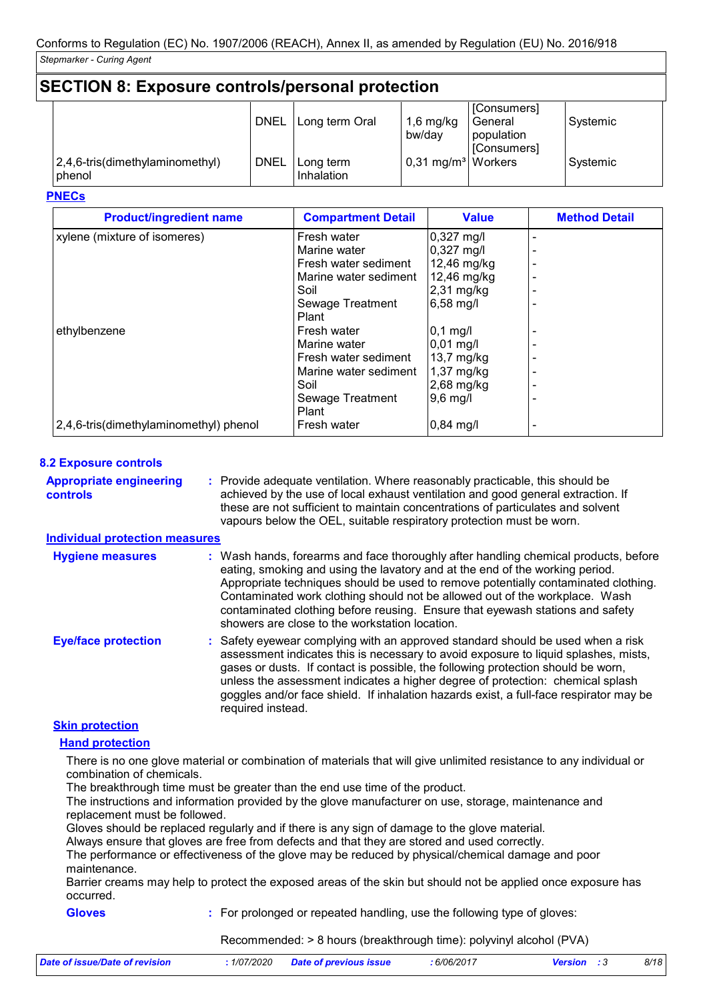#### **SECTION 8: Exposure controls/personal protection** [Consumers] DNEL | Long term Oral | 1,6 mg/kg bw/day **General** population [Consumers] Systemic 2,4,6-tris(dimethylaminomethyl) phenol DNEL | Long term Inhalation  $0,31 \text{ mg/m}^3$  Workers Systemic

#### **PNECs**

| <b>Product/ingredient name</b>         | <b>Compartment Detail</b> | <b>Value</b>         | <b>Method Detail</b> |
|----------------------------------------|---------------------------|----------------------|----------------------|
| xylene (mixture of isomeres)           | Fresh water               | $0,327 \text{ mg/l}$ |                      |
|                                        | Marine water              | 0,327 mg/l           |                      |
|                                        | Fresh water sediment      | $12,46$ mg/kg        |                      |
|                                        | Marine water sediment     | 12,46 mg/kg          |                      |
|                                        | Soil                      | $2,31$ mg/kg         |                      |
|                                        | Sewage Treatment          | 6,58 mg/l            |                      |
|                                        | Plant                     |                      |                      |
| ethylbenzene                           | Fresh water               | $0,1$ mg/l           |                      |
|                                        | Marine water              | $0,01 \text{ mg/l}$  |                      |
|                                        | Fresh water sediment      | 13,7 mg/kg           |                      |
|                                        | Marine water sediment     | $1,37$ mg/kg         |                      |
|                                        | Soil                      | 2,68 mg/kg           |                      |
|                                        | Sewage Treatment          | $9,6$ mg/l           |                      |
|                                        | Plant                     |                      |                      |
| 2,4,6-tris(dimethylaminomethyl) phenol | Fresh water               | $0,84$ mg/l          |                      |

#### **8.2 Exposure controls**

**Appropriate engineering controls**

Provide adequate ventilation. Where reasonably practicable, this should be **:** achieved by the use of local exhaust ventilation and good general extraction. If these are not sufficient to maintain concentrations of particulates and solvent vapours below the OEL, suitable respiratory protection must be worn.

#### **Individual protection measures**

| <b>Hygiene measures</b>    | : Wash hands, forearms and face thoroughly after handling chemical products, before                                                                                                                                                                                                                                                                                                                                                                         |
|----------------------------|-------------------------------------------------------------------------------------------------------------------------------------------------------------------------------------------------------------------------------------------------------------------------------------------------------------------------------------------------------------------------------------------------------------------------------------------------------------|
|                            | eating, smoking and using the lavatory and at the end of the working period.<br>Appropriate techniques should be used to remove potentially contaminated clothing.<br>Contaminated work clothing should not be allowed out of the workplace. Wash<br>contaminated clothing before reusing. Ensure that eyewash stations and safety<br>showers are close to the workstation location.                                                                        |
| <b>Eye/face protection</b> | : Safety eyewear complying with an approved standard should be used when a risk<br>assessment indicates this is necessary to avoid exposure to liquid splashes, mists,<br>gases or dusts. If contact is possible, the following protection should be worn,<br>unless the assessment indicates a higher degree of protection: chemical splash<br>goggles and/or face shield. If inhalation hazards exist, a full-face respirator may be<br>required instead. |

#### **Skin protection**

#### **Hand protection**

There is no one glove material or combination of materials that will give unlimited resistance to any individual or combination of chemicals.

The breakthrough time must be greater than the end use time of the product.

The instructions and information provided by the glove manufacturer on use, storage, maintenance and replacement must be followed.

Gloves should be replaced regularly and if there is any sign of damage to the glove material.

Always ensure that gloves are free from defects and that they are stored and used correctly.

The performance or effectiveness of the glove may be reduced by physical/chemical damage and poor maintenance.

Barrier creams may help to protect the exposed areas of the skin but should not be applied once exposure has occurred.

#### **Gloves**

**:** For prolonged or repeated handling, use the following type of gloves:

Recommended: > 8 hours (breakthrough time): polyvinyl alcohol (PVA)

| <i>1/07/2020</i><br>Date of issue/Date of revision | <b>Date of previous issue</b> | : 6/06/2017 | <b>Version</b> | 8/18 |
|----------------------------------------------------|-------------------------------|-------------|----------------|------|
|----------------------------------------------------|-------------------------------|-------------|----------------|------|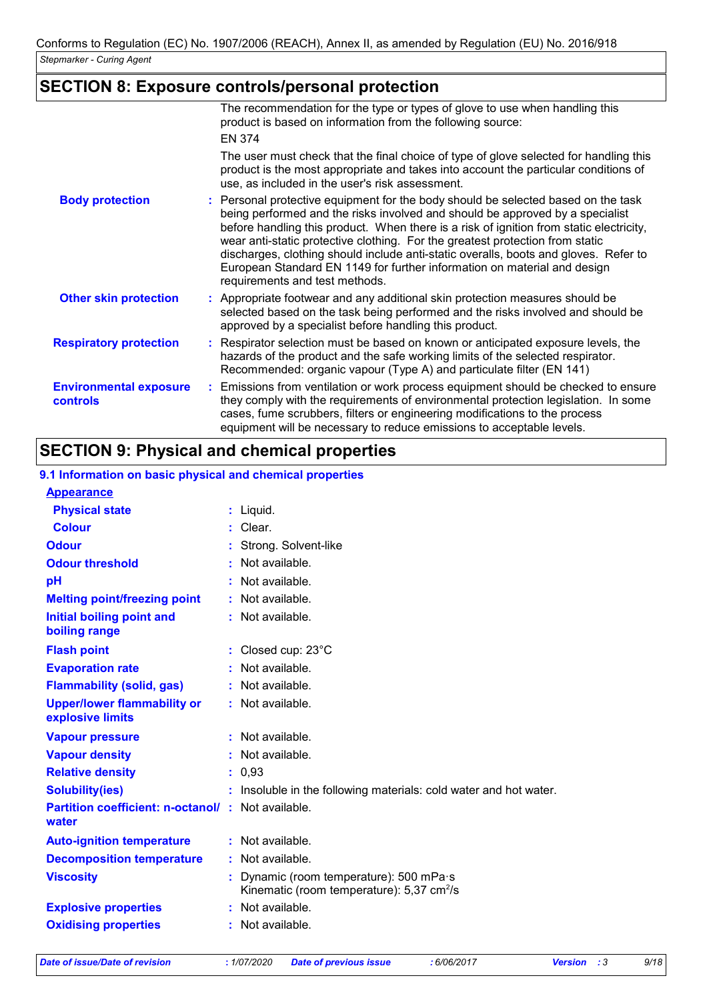# **SECTION 8: Exposure controls/personal protection**

|                                                  | The recommendation for the type or types of glove to use when handling this<br>product is based on information from the following source:                                                                                                                                                                                                                                                                                                                                                                                                            |  |
|--------------------------------------------------|------------------------------------------------------------------------------------------------------------------------------------------------------------------------------------------------------------------------------------------------------------------------------------------------------------------------------------------------------------------------------------------------------------------------------------------------------------------------------------------------------------------------------------------------------|--|
|                                                  | <b>EN 374</b>                                                                                                                                                                                                                                                                                                                                                                                                                                                                                                                                        |  |
|                                                  | The user must check that the final choice of type of glove selected for handling this<br>product is the most appropriate and takes into account the particular conditions of<br>use, as included in the user's risk assessment.                                                                                                                                                                                                                                                                                                                      |  |
| <b>Body protection</b>                           | : Personal protective equipment for the body should be selected based on the task<br>being performed and the risks involved and should be approved by a specialist<br>before handling this product. When there is a risk of ignition from static electricity,<br>wear anti-static protective clothing. For the greatest protection from static<br>discharges, clothing should include anti-static overalls, boots and gloves. Refer to<br>European Standard EN 1149 for further information on material and design<br>requirements and test methods. |  |
| <b>Other skin protection</b>                     | : Appropriate footwear and any additional skin protection measures should be<br>selected based on the task being performed and the risks involved and should be<br>approved by a specialist before handling this product.                                                                                                                                                                                                                                                                                                                            |  |
| <b>Respiratory protection</b>                    | : Respirator selection must be based on known or anticipated exposure levels, the<br>hazards of the product and the safe working limits of the selected respirator.<br>Recommended: organic vapour (Type A) and particulate filter (EN 141)                                                                                                                                                                                                                                                                                                          |  |
| <b>Environmental exposure</b><br><b>controls</b> | : Emissions from ventilation or work process equipment should be checked to ensure<br>they comply with the requirements of environmental protection legislation. In some<br>cases, fume scrubbers, filters or engineering modifications to the process<br>equipment will be necessary to reduce emissions to acceptable levels.                                                                                                                                                                                                                      |  |

# **SECTION 9: Physical and chemical properties**

#### **9.1 Information on basic physical and chemical properties**

| <b>Appearance</b>                                                 |                                                                                                  |
|-------------------------------------------------------------------|--------------------------------------------------------------------------------------------------|
| <b>Physical state</b>                                             | $:$ Liquid.                                                                                      |
| <b>Colour</b>                                                     | $:$ Clear.                                                                                       |
| <b>Odour</b>                                                      | Strong. Solvent-like                                                                             |
| <b>Odour threshold</b>                                            | : Not available.                                                                                 |
| pH                                                                | Not available.                                                                                   |
| <b>Melting point/freezing point</b>                               | : Not available.                                                                                 |
| <b>Initial boiling point and</b><br>boiling range                 | : Not available.                                                                                 |
| <b>Flash point</b>                                                | : Closed cup: $23^{\circ}$ C                                                                     |
| <b>Evaporation rate</b>                                           | : Not available.                                                                                 |
| <b>Flammability (solid, gas)</b>                                  | : Not available.                                                                                 |
| <b>Upper/lower flammability or</b>                                | : Not available.                                                                                 |
| explosive limits                                                  |                                                                                                  |
| <b>Vapour pressure</b>                                            | : Not available.                                                                                 |
| <b>Vapour density</b>                                             | : Not available.                                                                                 |
| <b>Relative density</b>                                           | : 0.93                                                                                           |
| <b>Solubility(ies)</b>                                            | : Insoluble in the following materials: cold water and hot water.                                |
| <b>Partition coefficient: n-octanol/: Not available.</b><br>water |                                                                                                  |
| <b>Auto-ignition temperature</b>                                  | : Not available.                                                                                 |
| <b>Decomposition temperature</b>                                  | : Not available.                                                                                 |
| <b>Viscosity</b>                                                  | Dynamic (room temperature): 500 mPa·s<br>Kinematic (room temperature): $5,37$ cm <sup>2</sup> /s |
| <b>Explosive properties</b>                                       | Not available.                                                                                   |
| <b>Oxidising properties</b>                                       | : Not available.                                                                                 |
|                                                                   |                                                                                                  |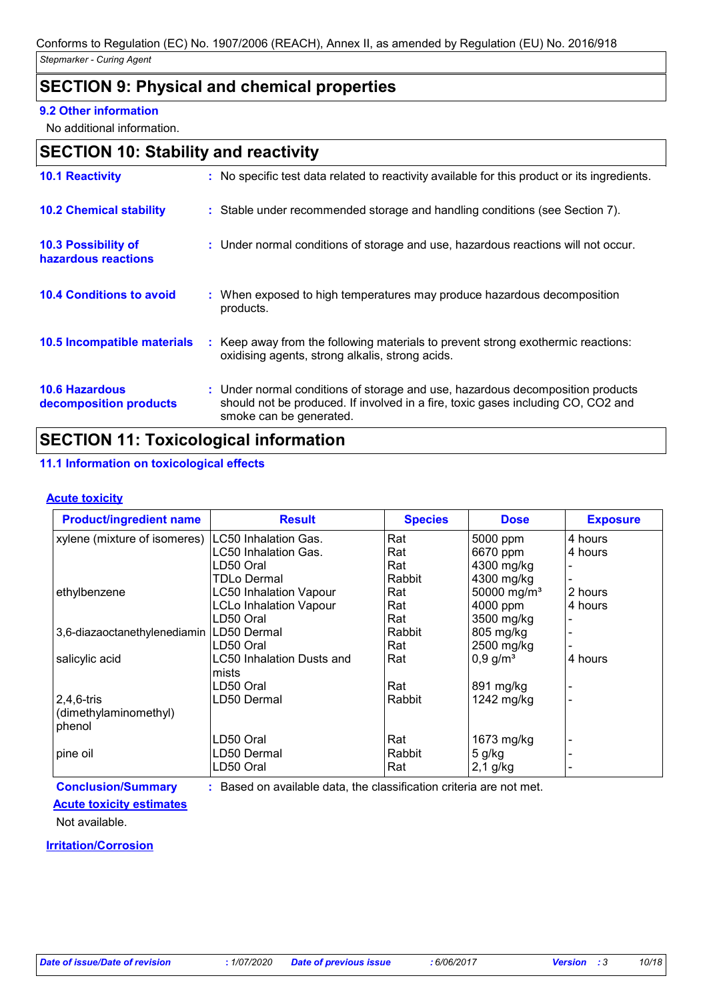# **SECTION 9: Physical and chemical properties**

#### **9.2 Other information**

No additional information.

|  | <b>SECTION 10: Stability and reactivity</b> |  |
|--|---------------------------------------------|--|
|--|---------------------------------------------|--|

| <b>10.1 Reactivity</b>                            | : No specific test data related to reactivity available for this product or its ingredients.                                                                                                  |
|---------------------------------------------------|-----------------------------------------------------------------------------------------------------------------------------------------------------------------------------------------------|
| <b>10.2 Chemical stability</b>                    | : Stable under recommended storage and handling conditions (see Section 7).                                                                                                                   |
| <b>10.3 Possibility of</b><br>hazardous reactions | : Under normal conditions of storage and use, hazardous reactions will not occur.                                                                                                             |
| <b>10.4 Conditions to avoid</b>                   | : When exposed to high temperatures may produce hazardous decomposition<br>products.                                                                                                          |
| 10.5 Incompatible materials                       | : Keep away from the following materials to prevent strong exothermic reactions:<br>oxidising agents, strong alkalis, strong acids.                                                           |
| <b>10.6 Hazardous</b><br>decomposition products   | : Under normal conditions of storage and use, hazardous decomposition products<br>should not be produced. If involved in a fire, toxic gases including CO, CO2 and<br>smoke can be generated. |

# **SECTION 11: Toxicological information**

#### **11.1 Information on toxicological effects**

#### **Acute toxicity**

| <b>Product/ingredient name</b>             | <b>Result</b>                 | <b>Species</b> | <b>Dose</b>             | <b>Exposure</b> |
|--------------------------------------------|-------------------------------|----------------|-------------------------|-----------------|
| xylene (mixture of isomeres)               | LC50 Inhalation Gas.          | Rat            | 5000 ppm                | 4 hours         |
|                                            | LC50 Inhalation Gas.          | Rat            | 6670 ppm                | 4 hours         |
|                                            | LD50 Oral                     | Rat            | 4300 mg/kg              |                 |
|                                            | TDLo Dermal                   | Rabbit         | 4300 mg/kg              |                 |
| ethylbenzene                               | <b>LC50 Inhalation Vapour</b> | Rat            | 50000 mg/m <sup>3</sup> | 2 hours         |
|                                            | <b>LCLo Inhalation Vapour</b> | Rat            | 4000 ppm                | 4 hours         |
|                                            | LD50 Oral                     | Rat            | 3500 mg/kg              |                 |
| 3,6-diazaoctanethylenediamin   LD50 Dermal |                               | Rabbit         | 805 mg/kg               |                 |
|                                            | LD50 Oral                     | Rat            | 2500 mg/kg              |                 |
| salicylic acid                             | LC50 Inhalation Dusts and     | Rat            | $0,9$ g/m <sup>3</sup>  | 4 hours         |
|                                            | mists                         |                |                         |                 |
|                                            | LD50 Oral                     | Rat            | 891 mg/kg               |                 |
| $2,4,6$ -tris                              | LD50 Dermal                   | Rabbit         | 1242 mg/kg              |                 |
| (dimethylaminomethyl)                      |                               |                |                         |                 |
| phenol                                     |                               |                |                         |                 |
|                                            | LD50 Oral                     | Rat            | 1673 mg/kg              |                 |
| pine oil                                   | LD50 Dermal                   | Rabbit         | $5$ g/kg                |                 |
|                                            | LD50 Oral                     | Rat            | $2,1$ g/kg              |                 |

**Conclusion/Summary :** Based on available data, the classification criteria are not met.

#### **Acute toxicity estimates**

Not available.

#### **Irritation/Corrosion**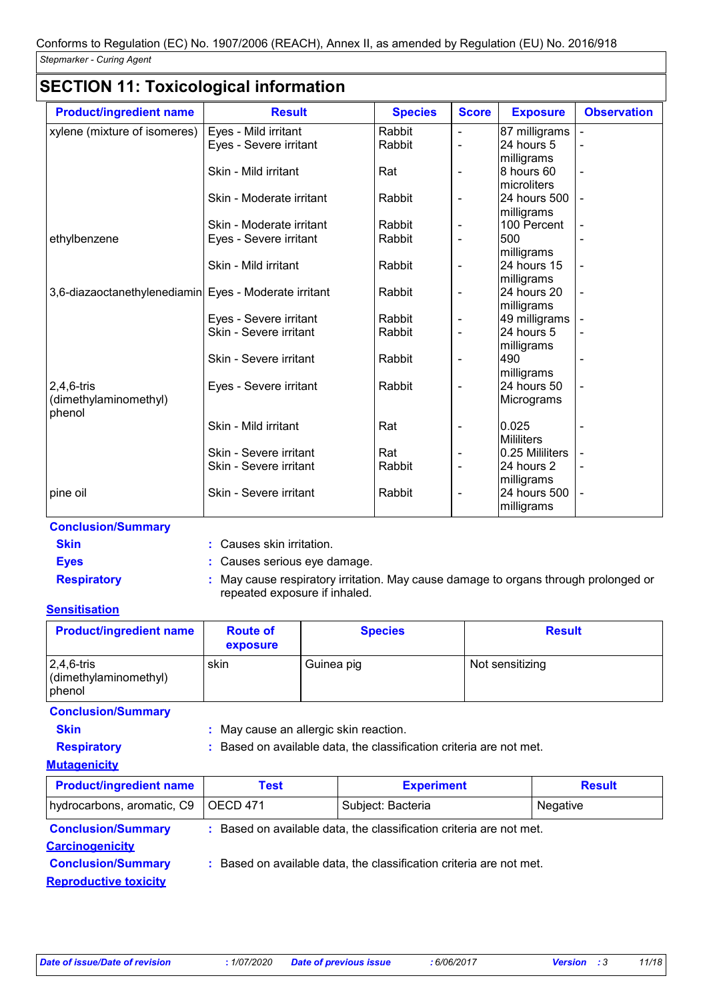# **SECTION 11: Toxicological information**

| <b>Product/ingredient name</b>                        | <b>Result</b>            | <b>Species</b> | <b>Score</b>             | <b>Exposure</b>             | <b>Observation</b> |
|-------------------------------------------------------|--------------------------|----------------|--------------------------|-----------------------------|--------------------|
| xylene (mixture of isomeres)                          | Eyes - Mild irritant     | Rabbit         |                          | 87 milligrams               |                    |
|                                                       | Eyes - Severe irritant   | Rabbit         | $\overline{\phantom{0}}$ | 24 hours 5                  |                    |
|                                                       |                          |                |                          | milligrams                  |                    |
|                                                       | Skin - Mild irritant     | Rat            | $\overline{\phantom{0}}$ | 8 hours 60<br>microliters   |                    |
|                                                       | Skin - Moderate irritant | Rabbit         | $\overline{\phantom{0}}$ | 24 hours 500                |                    |
|                                                       |                          |                |                          | milligrams                  |                    |
|                                                       | Skin - Moderate irritant | Rabbit         | $\overline{\phantom{0}}$ | 100 Percent                 |                    |
| ethylbenzene                                          | Eyes - Severe irritant   | Rabbit         | -                        | 500                         |                    |
|                                                       |                          |                |                          | milligrams                  |                    |
|                                                       | Skin - Mild irritant     | Rabbit         | $\overline{\phantom{0}}$ | 24 hours 15                 |                    |
|                                                       |                          |                |                          | milligrams                  |                    |
| 3,6-diazaoctanethylenediamin Eyes - Moderate irritant |                          | Rabbit         | $\overline{\phantom{a}}$ | 24 hours 20                 |                    |
|                                                       | Eyes - Severe irritant   | Rabbit         | -                        | milligrams<br>49 milligrams |                    |
|                                                       | Skin - Severe irritant   | Rabbit         | $\overline{\phantom{0}}$ | 24 hours 5                  |                    |
|                                                       |                          |                |                          | milligrams                  |                    |
|                                                       | Skin - Severe irritant   | Rabbit         |                          | 490                         |                    |
|                                                       |                          |                |                          | milligrams                  |                    |
| $2,4,6$ -tris                                         | Eyes - Severe irritant   | Rabbit         |                          | 24 hours 50                 |                    |
| (dimethylaminomethyl)                                 |                          |                |                          | Micrograms                  |                    |
| phenol                                                |                          |                |                          |                             |                    |
|                                                       | Skin - Mild irritant     | Rat            | -                        | 0.025                       |                    |
|                                                       |                          |                |                          | <b>Mililiters</b>           |                    |
|                                                       | Skin - Severe irritant   | Rat            |                          | 0.25 Mililiters             |                    |
|                                                       | Skin - Severe irritant   | Rabbit         | $\overline{\phantom{a}}$ | 24 hours 2                  |                    |
|                                                       |                          |                |                          | milligrams                  |                    |
| pine oil                                              | Skin - Severe irritant   | Rabbit         |                          | 24 hours 500                |                    |
|                                                       |                          |                |                          | milligrams                  |                    |

#### **Conclusion/Summary**

| Skin |  |  |
|------|--|--|
|      |  |  |

**:** Causes skin irritation.

**Eyes :** Causes serious eye damage.

**Respiratory :** May cause respiratory irritation. May cause damage to organs through prolonged or repeated exposure if inhaled.

#### **Sensitisation**

| <b>Product/ingredient name</b>                    | <b>Route of</b><br>exposure | <b>Species</b> | <b>Result</b>   |
|---------------------------------------------------|-----------------------------|----------------|-----------------|
| $ 2,4,6$ -tris<br>(dimethylaminomethyl)<br>phenol | skin                        | Guinea pig     | Not sensitizing |

**Conclusion/Summary**

**Skin :** May cause an allergic skin reaction.

**Respiratory :** Based on available data, the classification criteria are not met.

#### **Mutagenicity**

| <b>Product/ingredient name</b>                                                                                             | <b>Test</b>                                                         | <b>Experiment</b> | <b>Result</b> |  |  |
|----------------------------------------------------------------------------------------------------------------------------|---------------------------------------------------------------------|-------------------|---------------|--|--|
| hydrocarbons, aromatic, C9                                                                                                 | OECD 471                                                            | Subject: Bacteria | Negative      |  |  |
| <b>Conclusion/Summary</b><br>: Based on available data, the classification criteria are not met.<br><b>Carcinogenicity</b> |                                                                     |                   |               |  |  |
| <b>Conclusion/Summary</b><br><b>Reproductive toxicity</b>                                                                  | : Based on available data, the classification criteria are not met. |                   |               |  |  |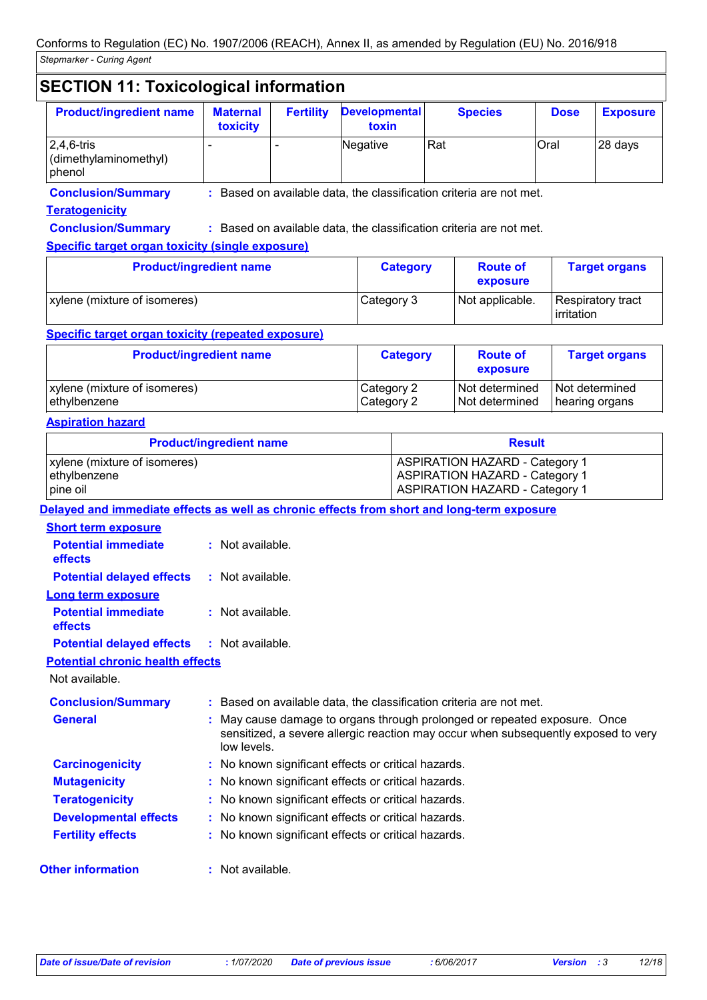# **SECTION 11: Toxicological information**

| <b>Product/ingredient name</b>                            | <b>Maternal</b><br>toxicity | <b>Fertility</b>         | <b>Developmental</b><br>toxin | <b>Species</b> | <b>Dose</b> | <b>Exposure</b> |
|-----------------------------------------------------------|-----------------------------|--------------------------|-------------------------------|----------------|-------------|-----------------|
| $ 2,4,6$ -tris<br>$\vert$ (dimethylaminomethyl)<br>phenol |                             | $\overline{\phantom{a}}$ | Negative                      | Rat            | Oral        | 28 days         |

**Conclusion/Summary :** Based on available data, the classification criteria are not met.

#### **Teratogenicity**

**Conclusion/Summary :** Based on available data, the classification criteria are not met.

#### **Specific target organ toxicity (single exposure)**

| <b>Product/ingredient name</b>      | <b>Category</b> | <b>Route of</b><br>exposure | <b>Target organs</b>                     |
|-------------------------------------|-----------------|-----------------------------|------------------------------------------|
| <b>xylene</b> (mixture of isomeres) | Category 3      | Not applicable.             | Respiratory tract<br><b>l</b> irritation |

#### **Specific target organ toxicity (repeated exposure)**

| <b>Product/ingredient name</b> | <b>Category</b> | <b>Route of</b><br>exposure | <b>Target organs</b> |
|--------------------------------|-----------------|-----------------------------|----------------------|
| xylene (mixture of isomeres)   | Category 2      | Not determined              | Not determined       |
| ethylbenzene                   | Category 2      | Not determined              | hearing organs       |

#### **Aspiration hazard**

|                                                                                            | <b>Product/ingredient name</b> | <b>Result</b>                                                                                                           |  |  |  |
|--------------------------------------------------------------------------------------------|--------------------------------|-------------------------------------------------------------------------------------------------------------------------|--|--|--|
| xylene (mixture of isomeres)<br>ethylbenzene<br>pine oil                                   |                                | <b>ASPIRATION HAZARD - Category 1</b><br><b>ASPIRATION HAZARD - Category 1</b><br><b>ASPIRATION HAZARD - Category 1</b> |  |  |  |
| Delayed and immediate effects as well as chronic effects from short and long-term exposure |                                |                                                                                                                         |  |  |  |
| <b>Short term exposure</b>                                                                 |                                |                                                                                                                         |  |  |  |
| <b>Potential immediate</b><br>effects                                                      | $:$ Not available.             |                                                                                                                         |  |  |  |
| <b>Potential delayed effects</b>                                                           | : Not available.               |                                                                                                                         |  |  |  |
| Long term exposure                                                                         |                                |                                                                                                                         |  |  |  |
| <b>Potential immediate</b><br>effects                                                      | $:$ Not available.             |                                                                                                                         |  |  |  |

#### **Potential delayed effects :** Not available.

**Potential chronic health effects**

Not available.

| <b>Conclusion/Summary</b>    | : Based on available data, the classification criteria are not met.                                                                                                            |
|------------------------------|--------------------------------------------------------------------------------------------------------------------------------------------------------------------------------|
| <b>General</b>               | : May cause damage to organs through prolonged or repeated exposure. Once<br>sensitized, a severe allergic reaction may occur when subsequently exposed to very<br>low levels. |
| <b>Carcinogenicity</b>       | : No known significant effects or critical hazards.                                                                                                                            |
| <b>Mutagenicity</b>          | : No known significant effects or critical hazards.                                                                                                                            |
| <b>Teratogenicity</b>        | : No known significant effects or critical hazards.                                                                                                                            |
| <b>Developmental effects</b> | : No known significant effects or critical hazards.                                                                                                                            |
| <b>Fertility effects</b>     | : No known significant effects or critical hazards.                                                                                                                            |
| <b>Other information</b>     | : Not available.                                                                                                                                                               |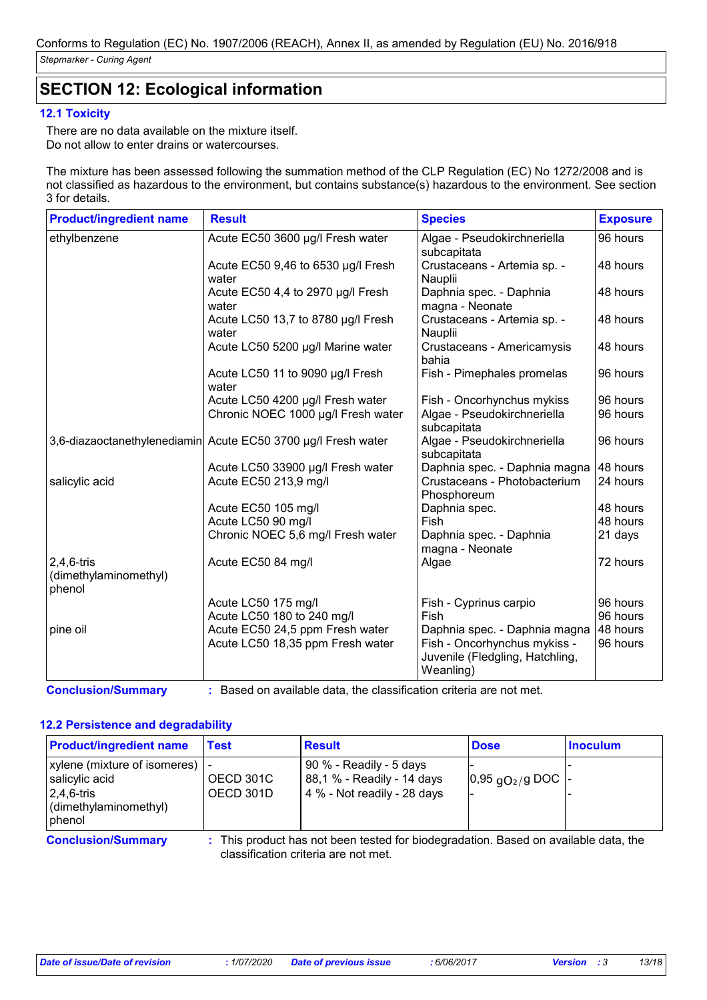# **SECTION 12: Ecological information**

#### **12.1 Toxicity**

There are no data available on the mixture itself. Do not allow to enter drains or watercourses.

The mixture has been assessed following the summation method of the CLP Regulation (EC) No 1272/2008 and is not classified as hazardous to the environment, but contains substance(s) hazardous to the environment. See section 3 for details.

| <b>Product/ingredient name</b>                | <b>Result</b>                                                 | <b>Species</b>                                                               | <b>Exposure</b> |
|-----------------------------------------------|---------------------------------------------------------------|------------------------------------------------------------------------------|-----------------|
| ethylbenzene                                  | Acute EC50 3600 µg/l Fresh water                              | Algae - Pseudokirchneriella<br>subcapitata                                   | 96 hours        |
|                                               | Acute EC50 9,46 to 6530 µg/l Fresh<br>water                   | Crustaceans - Artemia sp. -<br>Nauplii                                       | 48 hours        |
|                                               | Acute EC50 4,4 to 2970 µg/l Fresh<br>water                    | Daphnia spec. - Daphnia<br>magna - Neonate                                   | 48 hours        |
|                                               | Acute LC50 13,7 to 8780 µg/l Fresh<br>water                   | Crustaceans - Artemia sp. -<br>Nauplii                                       | 48 hours        |
|                                               | Acute LC50 5200 µg/l Marine water                             | Crustaceans - Americamysis<br>bahia                                          | 48 hours        |
|                                               | Acute LC50 11 to 9090 µg/l Fresh<br>water                     | Fish - Pimephales promelas                                                   | 96 hours        |
|                                               | Acute LC50 4200 µg/l Fresh water                              | Fish - Oncorhynchus mykiss                                                   | 96 hours        |
|                                               | Chronic NOEC 1000 µg/l Fresh water                            | Algae - Pseudokirchneriella<br>subcapitata                                   | 96 hours        |
|                                               | 3,6-diazaoctanethylenediamin Acute EC50 3700 µg/l Fresh water | Algae - Pseudokirchneriella<br>subcapitata                                   | 96 hours        |
|                                               | Acute LC50 33900 µg/l Fresh water                             | Daphnia spec. - Daphnia magna                                                | 48 hours        |
| salicylic acid                                | Acute EC50 213,9 mg/l                                         | Crustaceans - Photobacterium<br>Phosphoreum                                  | 24 hours        |
|                                               | Acute EC50 105 mg/l                                           | Daphnia spec.                                                                | 48 hours        |
|                                               | Acute LC50 90 mg/l                                            | Fish                                                                         | 48 hours        |
|                                               | Chronic NOEC 5,6 mg/l Fresh water                             | Daphnia spec. - Daphnia<br>magna - Neonate                                   | 21 days         |
| 2,4,6-tris<br>(dimethylaminomethyl)<br>phenol | Acute EC50 84 mg/l                                            | Algae                                                                        | 72 hours        |
|                                               | Acute LC50 175 mg/l                                           | Fish - Cyprinus carpio                                                       | 96 hours        |
|                                               | Acute LC50 180 to 240 mg/l                                    | Fish                                                                         | 96 hours        |
| pine oil                                      | Acute EC50 24,5 ppm Fresh water                               | Daphnia spec. - Daphnia magna                                                | 48 hours        |
|                                               | Acute LC50 18,35 ppm Fresh water                              | Fish - Oncorhynchus mykiss -<br>Juvenile (Fledgling, Hatchling,<br>Weanling) | 96 hours        |

**Conclusion/Summary :** Based on available data, the classification criteria are not met.

#### **12.2 Persistence and degradability**

| <b>Product/ingredient name</b>                                                                                  | Test                   | <b>Result</b>                                                                                                               | <b>Dose</b>                    | <b>Inoculum</b> |
|-----------------------------------------------------------------------------------------------------------------|------------------------|-----------------------------------------------------------------------------------------------------------------------------|--------------------------------|-----------------|
| xylene (mixture of isomeres)  <br>salicylic acid<br>$ 2,4,6$ -tris<br>$\vert$ (dimethylaminomethyl)<br>  phenol | OECD 301C<br>OECD 301D | 90 % - Readily - 5 days<br>88,1 % - Readily - 14 days<br>4 % - Not readily - 28 days                                        | $ 0,95 \text{ qO}_2$ /g DOC  - |                 |
| <b>Conclusion/Summary</b>                                                                                       |                        | : This product has not been tested for biodegradation. Based on available data, the<br>classification criteria are not met. |                                |                 |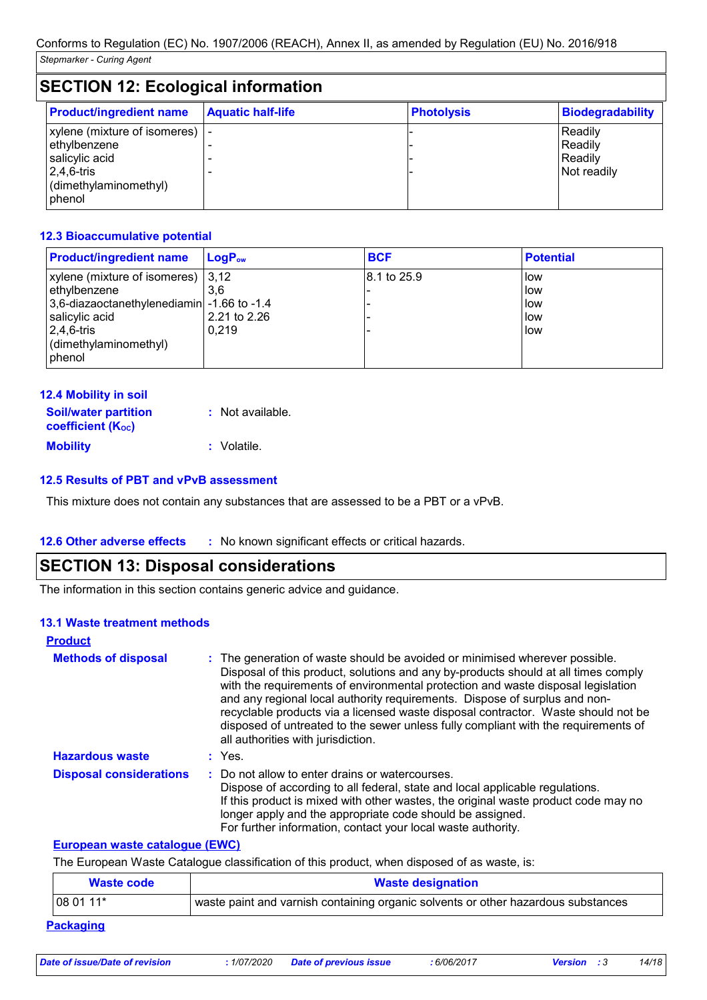| <b>SECTION 12: Ecological information</b>                                                                                    |                          |                   |                                              |  |  |
|------------------------------------------------------------------------------------------------------------------------------|--------------------------|-------------------|----------------------------------------------|--|--|
| <b>Product/ingredient name</b>                                                                                               | <b>Aquatic half-life</b> | <b>Photolysis</b> | <b>Biodegradability</b>                      |  |  |
| xylene (mixture of isomeres) $\vert$ -<br>ethylbenzene<br>salicylic acid<br>$2,4,6$ -tris<br>(dimethylaminomethyl)<br>phenol |                          |                   | Readily<br>Readily<br>Readily<br>Not readily |  |  |

#### **12.3 Bioaccumulative potential**

| <b>Product/ingredient name</b>             | l LoɑP <sub>ow</sub> | <b>BCF</b>  | <b>Potential</b> |
|--------------------------------------------|----------------------|-------------|------------------|
| xylene (mixture of isomeres)   3,12        |                      | 8.1 to 25.9 | low              |
| ethylbenzene                               | 3.6                  |             | low              |
| 3,6-diazaoctanethylenediamin -1.66 to -1.4 |                      |             | low              |
| salicylic acid                             | 2.21 to 2.26         |             | low              |
| $ 2,4,6$ -tris                             | 0.219                |             | low              |
| (dimethylaminomethyl)                      |                      |             |                  |
| I phenol                                   |                      |             |                  |

| <b>12.4 Mobility in soil</b> |  |
|------------------------------|--|
|------------------------------|--|

| <b>Soil/water partition</b><br><b>coefficient (Koc)</b> | : Not available. |
|---------------------------------------------------------|------------------|
| <b>Mobility</b>                                         | : Volatile.      |

#### **12.5 Results of PBT and vPvB assessment**

This mixture does not contain any substances that are assessed to be a PBT or a vPvB.

#### **12.6 Other adverse effects** : No known significant effects or critical hazards.

#### **SECTION 13: Disposal considerations**

The information in this section contains generic advice and guidance.

#### **13.1 Waste treatment methods**

| <b>Product</b>                 |                                                                                                                                                                                                                                                                                                                                                                                                                                                                                                                                                      |
|--------------------------------|------------------------------------------------------------------------------------------------------------------------------------------------------------------------------------------------------------------------------------------------------------------------------------------------------------------------------------------------------------------------------------------------------------------------------------------------------------------------------------------------------------------------------------------------------|
| <b>Methods of disposal</b>     | : The generation of waste should be avoided or minimised wherever possible.<br>Disposal of this product, solutions and any by-products should at all times comply<br>with the requirements of environmental protection and waste disposal legislation<br>and any regional local authority requirements. Dispose of surplus and non-<br>recyclable products via a licensed waste disposal contractor. Waste should not be<br>disposed of untreated to the sewer unless fully compliant with the requirements of<br>all authorities with jurisdiction. |
| <b>Hazardous waste</b>         | : Yes.                                                                                                                                                                                                                                                                                                                                                                                                                                                                                                                                               |
| <b>Disposal considerations</b> | : Do not allow to enter drains or watercourses.<br>Dispose of according to all federal, state and local applicable regulations.<br>If this product is mixed with other wastes, the original waste product code may no<br>longer apply and the appropriate code should be assigned.<br>For further information, contact your local waste authority.                                                                                                                                                                                                   |

#### **European waste catalogue (EWC)**

The European Waste Catalogue classification of this product, when disposed of as waste, is:

| Waste code       | <b>Waste designation</b>                                                          |  |  |
|------------------|-----------------------------------------------------------------------------------|--|--|
| $1080111*$       | waste paint and varnish containing organic solvents or other hazardous substances |  |  |
| <b>Packaging</b> |                                                                                   |  |  |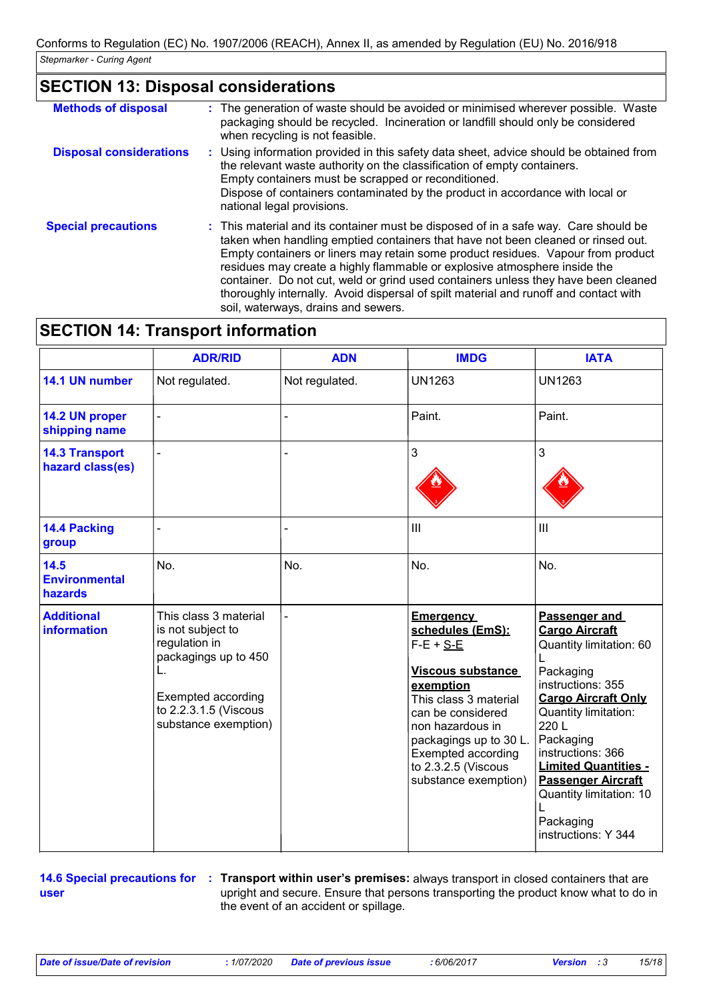# **SECTION 13: Disposal considerations**

| <b>Methods of disposal</b>     | : The generation of waste should be avoided or minimised wherever possible. Waste<br>packaging should be recycled. Incineration or landfill should only be considered<br>when recycling is not feasible.                                                                                                                                                                                                                                                                                                                                                      |
|--------------------------------|---------------------------------------------------------------------------------------------------------------------------------------------------------------------------------------------------------------------------------------------------------------------------------------------------------------------------------------------------------------------------------------------------------------------------------------------------------------------------------------------------------------------------------------------------------------|
| <b>Disposal considerations</b> | : Using information provided in this safety data sheet, advice should be obtained from<br>the relevant waste authority on the classification of empty containers.<br>Empty containers must be scrapped or reconditioned.<br>Dispose of containers contaminated by the product in accordance with local or<br>national legal provisions.                                                                                                                                                                                                                       |
| <b>Special precautions</b>     | : This material and its container must be disposed of in a safe way. Care should be<br>taken when handling emptied containers that have not been cleaned or rinsed out.<br>Empty containers or liners may retain some product residues. Vapour from product<br>residues may create a highly flammable or explosive atmosphere inside the<br>container. Do not cut, weld or grind used containers unless they have been cleaned<br>thoroughly internally. Avoid dispersal of spilt material and runoff and contact with<br>soil, waterways, drains and sewers. |

# **SECTION 14: Transport information**

|                                           | <b>ADR/RID</b>                                                                                                                                                   | <b>ADN</b> | <b>IMDG</b>                                                                                                                                                                                                                                                          | <b>IATA</b>                                                                                                                                                                                                                                                                                                                    |
|-------------------------------------------|------------------------------------------------------------------------------------------------------------------------------------------------------------------|------------|----------------------------------------------------------------------------------------------------------------------------------------------------------------------------------------------------------------------------------------------------------------------|--------------------------------------------------------------------------------------------------------------------------------------------------------------------------------------------------------------------------------------------------------------------------------------------------------------------------------|
| 14.1 UN number                            | Not regulated.<br>Not regulated.                                                                                                                                 |            | <b>UN1263</b>                                                                                                                                                                                                                                                        | <b>UN1263</b>                                                                                                                                                                                                                                                                                                                  |
| 14.2 UN proper<br>shipping name           |                                                                                                                                                                  |            | Paint.                                                                                                                                                                                                                                                               | Paint.                                                                                                                                                                                                                                                                                                                         |
| <b>14.3 Transport</b><br>hazard class(es) |                                                                                                                                                                  |            | 3                                                                                                                                                                                                                                                                    | 3                                                                                                                                                                                                                                                                                                                              |
| 14.4 Packing<br>group                     |                                                                                                                                                                  |            | III                                                                                                                                                                                                                                                                  | III                                                                                                                                                                                                                                                                                                                            |
| 14.5<br><b>Environmental</b><br>hazards   | No.                                                                                                                                                              | No.        | No.                                                                                                                                                                                                                                                                  | No.                                                                                                                                                                                                                                                                                                                            |
| <b>Additional</b><br><b>information</b>   | This class 3 material<br>is not subject to<br>regulation in<br>packagings up to 450<br>L.<br>Exempted according<br>to 2.2.3.1.5 (Viscous<br>substance exemption) |            | <b>Emergency</b><br>schedules (EmS):<br>$F-E + S-E$<br><b>Viscous substance</b><br>exemption<br>This class 3 material<br>can be considered<br>non hazardous in<br>packagings up to 30 L.<br><b>Exempted according</b><br>to 2.3.2.5 (Viscous<br>substance exemption) | Passenger and<br><b>Cargo Aircraft</b><br>Quantity limitation: 60<br>Packaging<br>instructions: 355<br><b>Cargo Aircraft Only</b><br>Quantity limitation:<br>220L<br>Packaging<br>instructions: 366<br><b>Limited Quantities -</b><br><b>Passenger Aircraft</b><br>Quantity limitation: 10<br>Packaging<br>instructions: Y 344 |

**user**

**14.6 Special precautions for : Transport within user's premises:** always transport in closed containers that are upright and secure. Ensure that persons transporting the product know what to do in the event of an accident or spillage.

*Date of issue/Date of revision* **:** *1/07/2020 Date of previous issue : 6/06/2017 Version : 3 15/18*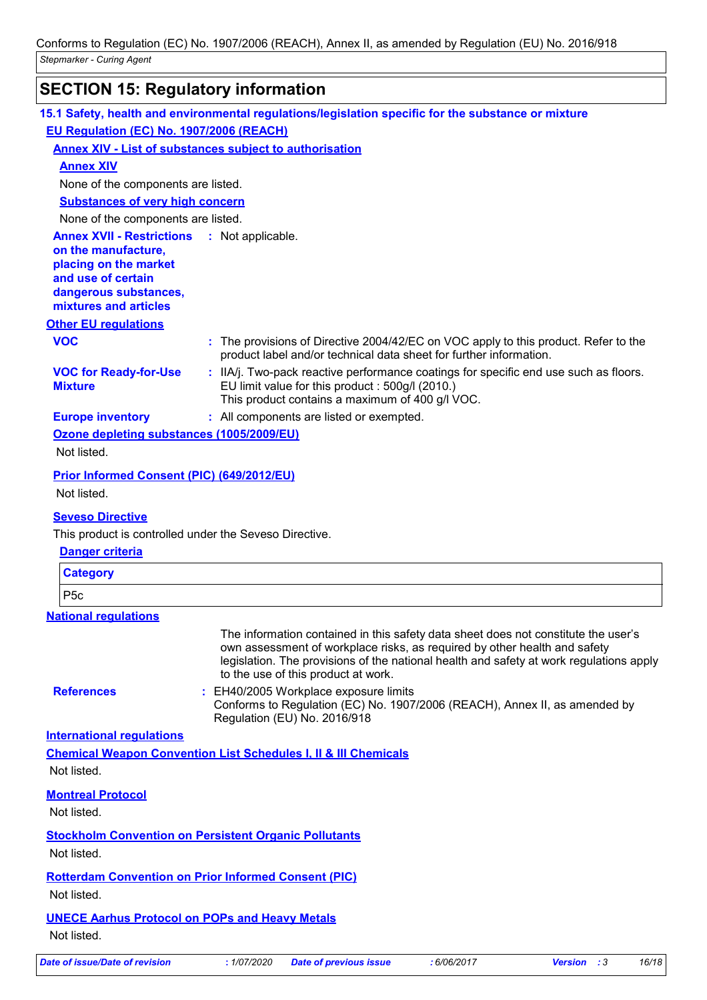# **SECTION 15: Regulatory information**

|                                                                                                                                 | 15.1 Safety, health and environmental regulations/legislation specific for the substance or mixture                                                                                                                                                                                               |
|---------------------------------------------------------------------------------------------------------------------------------|---------------------------------------------------------------------------------------------------------------------------------------------------------------------------------------------------------------------------------------------------------------------------------------------------|
| EU Regulation (EC) No. 1907/2006 (REACH)                                                                                        |                                                                                                                                                                                                                                                                                                   |
|                                                                                                                                 | <b>Annex XIV - List of substances subject to authorisation</b>                                                                                                                                                                                                                                    |
| <b>Annex XIV</b>                                                                                                                |                                                                                                                                                                                                                                                                                                   |
| None of the components are listed.                                                                                              |                                                                                                                                                                                                                                                                                                   |
| <b>Substances of very high concern</b>                                                                                          |                                                                                                                                                                                                                                                                                                   |
| None of the components are listed.                                                                                              |                                                                                                                                                                                                                                                                                                   |
| <b>Annex XVII - Restrictions</b><br>on the manufacture,<br>placing on the market<br>and use of certain<br>dangerous substances, | : Not applicable.                                                                                                                                                                                                                                                                                 |
| mixtures and articles                                                                                                           |                                                                                                                                                                                                                                                                                                   |
| <b>Other EU regulations</b>                                                                                                     |                                                                                                                                                                                                                                                                                                   |
| <b>VOC</b>                                                                                                                      | : The provisions of Directive 2004/42/EC on VOC apply to this product. Refer to the<br>product label and/or technical data sheet for further information.                                                                                                                                         |
| <b>VOC for Ready-for-Use</b><br><b>Mixture</b>                                                                                  | : IIA/j. Two-pack reactive performance coatings for specific end use such as floors.<br>EU limit value for this product : 500g/l (2010.)<br>This product contains a maximum of 400 g/l VOC.                                                                                                       |
| <b>Europe inventory</b>                                                                                                         | : All components are listed or exempted.                                                                                                                                                                                                                                                          |
| Ozone depleting substances (1005/2009/EU)                                                                                       |                                                                                                                                                                                                                                                                                                   |
| Not listed.                                                                                                                     |                                                                                                                                                                                                                                                                                                   |
| Prior Informed Consent (PIC) (649/2012/EU)<br>Not listed.                                                                       |                                                                                                                                                                                                                                                                                                   |
| <b>Seveso Directive</b>                                                                                                         |                                                                                                                                                                                                                                                                                                   |
| This product is controlled under the Seveso Directive.                                                                          |                                                                                                                                                                                                                                                                                                   |
| <b>Danger criteria</b>                                                                                                          |                                                                                                                                                                                                                                                                                                   |
| <b>Category</b>                                                                                                                 |                                                                                                                                                                                                                                                                                                   |
| P <sub>5c</sub>                                                                                                                 |                                                                                                                                                                                                                                                                                                   |
| <b>National regulations</b>                                                                                                     |                                                                                                                                                                                                                                                                                                   |
|                                                                                                                                 | The information contained in this safety data sheet does not constitute the user's<br>own assessment of workplace risks, as required by other health and safety<br>legislation. The provisions of the national health and safety at work regulations apply<br>to the use of this product at work. |
| <b>References</b>                                                                                                               | : EH40/2005 Workplace exposure limits<br>Conforms to Regulation (EC) No. 1907/2006 (REACH), Annex II, as amended by<br>Regulation (EU) No. 2016/918                                                                                                                                               |
| <b>International requlations</b>                                                                                                |                                                                                                                                                                                                                                                                                                   |
| Not listed.                                                                                                                     | <b>Chemical Weapon Convention List Schedules I, II &amp; III Chemicals</b>                                                                                                                                                                                                                        |
|                                                                                                                                 |                                                                                                                                                                                                                                                                                                   |
| <b>Montreal Protocol</b><br>Not listed.                                                                                         |                                                                                                                                                                                                                                                                                                   |
| Not listed.                                                                                                                     | <b>Stockholm Convention on Persistent Organic Pollutants</b>                                                                                                                                                                                                                                      |
| Not listed.                                                                                                                     | <b>Rotterdam Convention on Prior Informed Consent (PIC)</b>                                                                                                                                                                                                                                       |
| <b>UNECE Aarhus Protocol on POPs and Heavy Metals</b><br>Not listed.                                                            |                                                                                                                                                                                                                                                                                                   |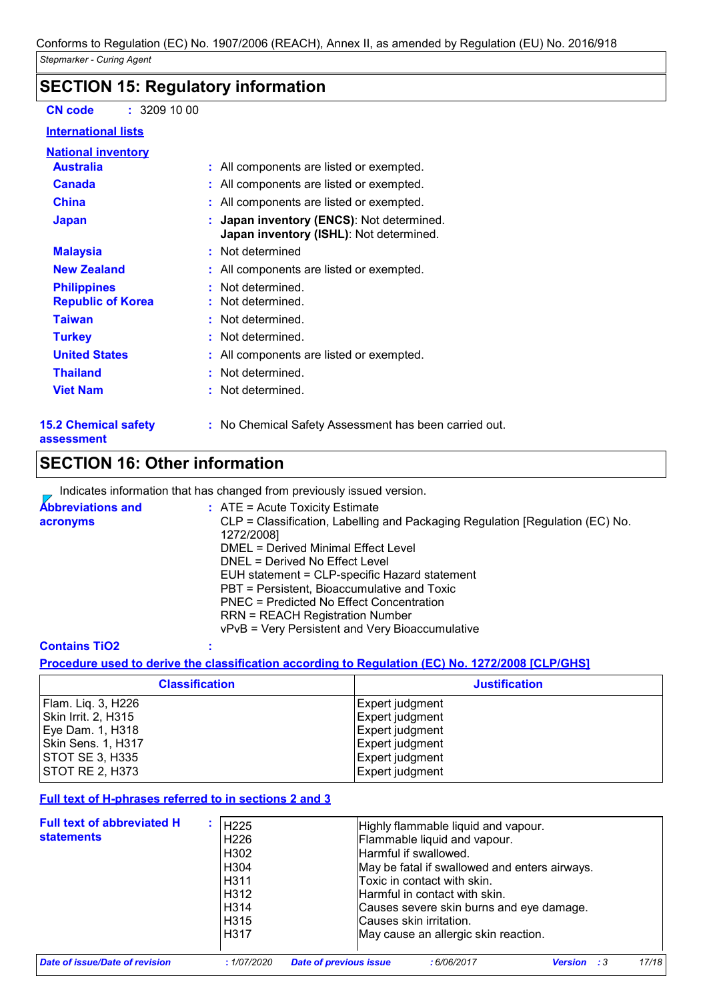### **SECTION 15: Regulatory information**

**CN code :** 3209 10 00

#### **International lists**

| <b>National inventory</b>   |                                                                                              |
|-----------------------------|----------------------------------------------------------------------------------------------|
| <b>Australia</b>            | : All components are listed or exempted.                                                     |
| <b>Canada</b>               | : All components are listed or exempted.                                                     |
| <b>China</b>                | : All components are listed or exempted.                                                     |
| <b>Japan</b>                | : Japan inventory (ENCS): Not determined.<br><b>Japan inventory (ISHL)</b> : Not determined. |
| <b>Malaysia</b>             | : Not determined                                                                             |
| <b>New Zealand</b>          | : All components are listed or exempted.                                                     |
| <b>Philippines</b>          | Not determined.                                                                              |
| <b>Republic of Korea</b>    | : Not determined.                                                                            |
| <b>Taiwan</b>               | : Not determined.                                                                            |
| <b>Turkey</b>               | : Not determined.                                                                            |
| <b>United States</b>        | : All components are listed or exempted.                                                     |
| <b>Thailand</b>             | : Not determined.                                                                            |
| <b>Viet Nam</b>             | : Not determined.                                                                            |
| <b>15.2 Chemical safety</b> | : No Chemical Safety Assessment has been carried out.                                        |

# **SECTION 16: Other information**

Indicates information that has changed from previously issued version.  $\overline{ }$ 

| <b>Abbreviations and</b> | $\therefore$ ATE = Acute Toxicity Estimate                                    |
|--------------------------|-------------------------------------------------------------------------------|
| acronyms                 | CLP = Classification, Labelling and Packaging Regulation [Regulation (EC) No. |
|                          | 1272/2008]                                                                    |
|                          | DMEL = Derived Minimal Effect Level                                           |
|                          | DNEL = Derived No Effect Level                                                |
|                          | EUH statement = CLP-specific Hazard statement                                 |
|                          | PBT = Persistent, Bioaccumulative and Toxic                                   |
|                          | PNEC = Predicted No Effect Concentration                                      |
|                          | <b>RRN = REACH Registration Number</b>                                        |
|                          | vPvB = Very Persistent and Very Bioaccumulative                               |

#### **Contains TiO2 :**

**assessment**

**Procedure used to derive the classification according to Regulation (EC) No. 1272/2008 [CLP/GHS]**

| <b>Classification</b>  | <b>Justification</b>   |  |
|------------------------|------------------------|--|
| Flam. Liq. 3, H226     | Expert judgment        |  |
| Skin Irrit. 2, H315    | Expert judgment        |  |
| Eye Dam. 1, H318       | Expert judgment        |  |
| Skin Sens. 1, H317     | Expert judgment        |  |
| <b>STOT SE 3, H335</b> | Expert judgment        |  |
| <b>STOT RE 2, H373</b> | <b>Expert judgment</b> |  |

#### **Full text of H-phrases referred to in sections 2 and 3**

| <b>Full text of abbreviated H</b><br><b>statements</b> | H <sub>225</sub><br>H <sub>226</sub><br>H302<br>H304<br>H311<br>H312<br>H314<br>H <sub>315</sub><br>H317 | Highly flammable liquid and vapour.<br>Flammable liquid and vapour.<br>Harmful if swallowed.<br>May be fatal if swallowed and enters airways.<br>Toxic in contact with skin.<br>lHarmful in contact with skin.<br>Causes severe skin burns and eye damage.<br>Causes skin irritation.<br>May cause an allergic skin reaction. |
|--------------------------------------------------------|----------------------------------------------------------------------------------------------------------|-------------------------------------------------------------------------------------------------------------------------------------------------------------------------------------------------------------------------------------------------------------------------------------------------------------------------------|
|                                                        |                                                                                                          |                                                                                                                                                                                                                                                                                                                               |